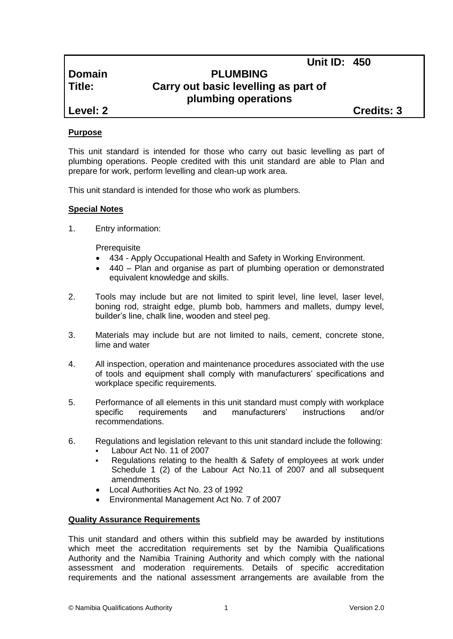**Unit ID: 450**

# **Domain PLUMBING Title: Carry out basic levelling as part of plumbing operations**

**Level: 2 Credits: 3**

## **Purpose**

This unit standard is intended for those who carry out basic levelling as part of plumbing operations. People credited with this unit standard are able to Plan and prepare for work, perform levelling and clean-up work area.

This unit standard is intended for those who work as plumbers.

## **Special Notes**

1. Entry information:

**Prerequisite** 

- 434 *-* Apply Occupational Health and Safety in Working Environment.
- 440 Plan and organise as part of plumbing operation or demonstrated equivalent knowledge and skills.
- 2. Tools may include but are not limited to spirit level, line level, laser level, boning rod, straight edge, plumb bob, hammers and mallets, dumpy level, builder's line, chalk line, wooden and steel peg.
- 3. Materials may include but are not limited to nails, cement, concrete stone, lime and water
- 4. All inspection, operation and maintenance procedures associated with the use of tools and equipment shall comply with manufacturers' specifications and workplace specific requirements.
- 5. Performance of all elements in this unit standard must comply with workplace specific requirements and manufacturers' instructions and/or recommendations.
- 6. Regulations and legislation relevant to this unit standard include the following:
	- Labour Act No. 11 of 2007
	- Regulations relating to the health & Safety of employees at work under Schedule 1 (2) of the Labour Act No.11 of 2007 and all subsequent amendments
	- Local Authorities Act No. 23 of 1992
	- Environmental Management Act No. 7 of 2007

### **Quality Assurance Requirements**

This unit standard and others within this subfield may be awarded by institutions which meet the accreditation requirements set by the Namibia Qualifications Authority and the Namibia Training Authority and which comply with the national assessment and moderation requirements. Details of specific accreditation requirements and the national assessment arrangements are available from the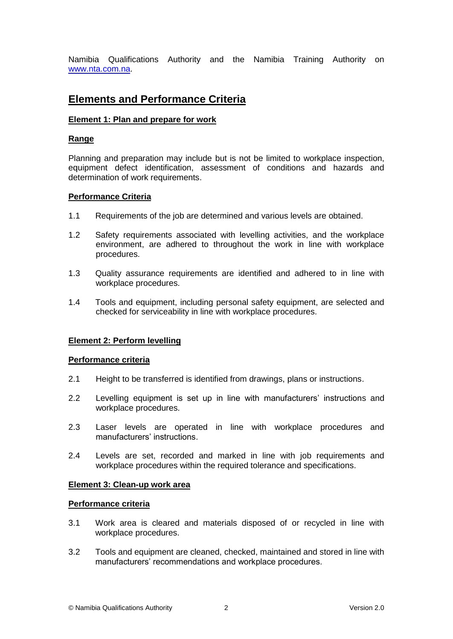Namibia Qualifications Authority and the Namibia Training Authority on [www.nta.com.na.](http://www.nta.com.na/)

# **Elements and Performance Criteria**

#### **Element 1: Plan and prepare for work**

#### **Range**

Planning and preparation may include but is not be limited to workplace inspection, equipment defect identification, assessment of conditions and hazards and determination of work requirements.

#### **Performance Criteria**

- 1.1 Requirements of the job are determined and various levels are obtained.
- 1.2 Safety requirements associated with levelling activities, and the workplace environment, are adhered to throughout the work in line with workplace procedures.
- 1.3 Quality assurance requirements are identified and adhered to in line with workplace procedures.
- 1.4 Tools and equipment, including personal safety equipment, are selected and checked for serviceability in line with workplace procedures.

#### **Element 2: Perform levelling**

#### **Performance criteria**

- 2.1 Height to be transferred is identified from drawings, plans or instructions.
- 2.2 Levelling equipment is set up in line with manufacturers' instructions and workplace procedures.
- 2.3 Laser levels are operated in line with workplace procedures and manufacturers' instructions.
- 2.4 Levels are set, recorded and marked in line with job requirements and workplace procedures within the required tolerance and specifications.

#### **Element 3: Clean-up work area**

#### **Performance criteria**

- 3.1 Work area is cleared and materials disposed of or recycled in line with workplace procedures.
- 3.2 Tools and equipment are cleaned, checked, maintained and stored in line with manufacturers' recommendations and workplace procedures.